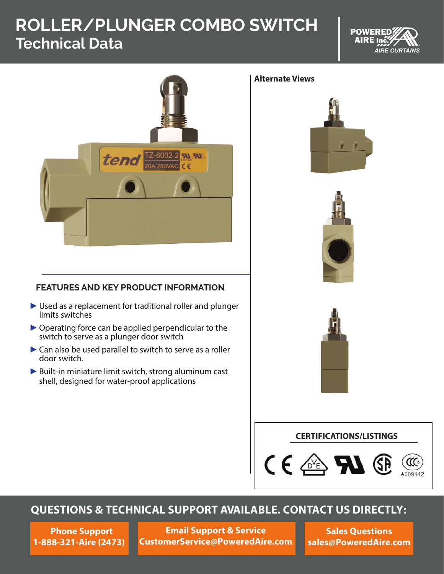# **ROLLER/PLUNGER COMBO SWITCH Technical Data**





#### **Alternate Views**





### **FEATURES AND KEY PRODUCT INFORMATION**

- ► Used as a replacement for traditional roller and plunger limits switches
- $\triangleright$  Operating force can be applied perpendicular to the switch to serve as a plunger door switch
- ► Can also be used parallel to switch to serve as a roller door switch.
- ► Built-in miniature limit switch, strong aluminum cast shell, designed for water-proof applications

## **CERTIFICATIONS/LISTINGS**



## **QUESTIONS & TECHNICAL SUPPORT AVAILABLE. CONTACT US DIRECTLY:**

**Phone Support 1-888-321-Aire (2473)**

**Email Support & Service CustomerService@PoweredAire.com**

**Sales Questions sales@PoweredAire.com**